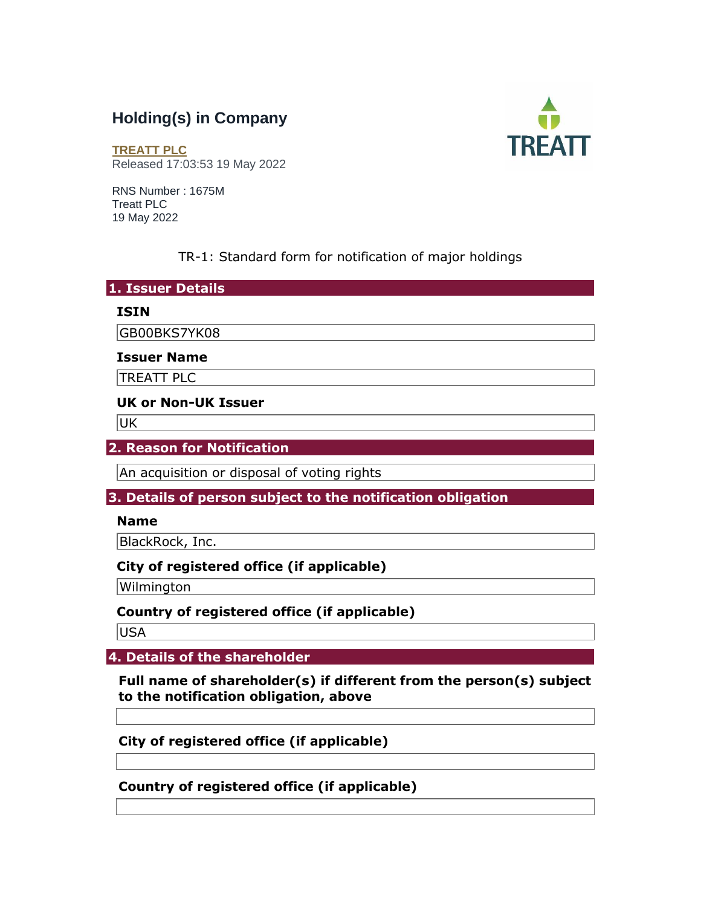# **Holding(s) in Company**



**[TREATT PLC](https://www.londonstockexchange.com/stock/TET/treatt-plc)** Released 17:03:53 19 May 2022

RNS Number : 1675M Treatt PLC 19 May 2022

### TR-1: Standard form for notification of major holdings

#### **1. Issuer Details**

#### **ISIN**

GB00BKS7YK08

#### **Issuer Name**

TREATT PLC

#### **UK or Non-UK Issuer**

UK

#### **2. Reason for Notification**

An acquisition or disposal of voting rights

## **3. Details of person subject to the notification obligation**

#### **Name**

BlackRock, Inc.

#### **City of registered office (if applicable)**

Wilmington

## **Country of registered office (if applicable)**

USA

## **4. Details of the shareholder**

**Full name of shareholder(s) if different from the person(s) subject to the notification obligation, above** 

**City of registered office (if applicable)** 

**Country of registered office (if applicable)**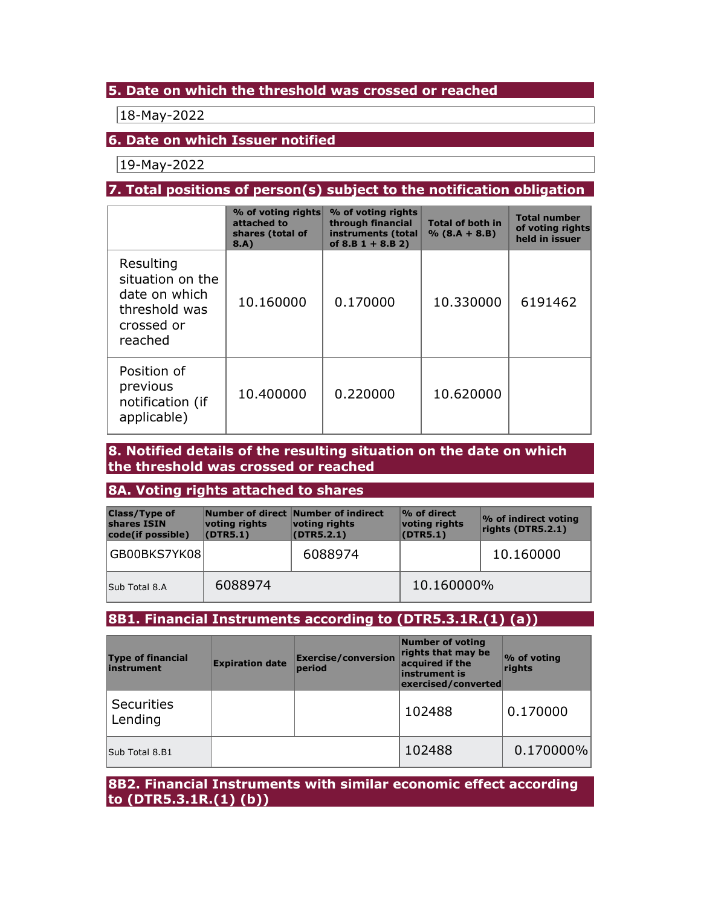#### **5. Date on which the threshold was crossed or reached**

18-May-2022

#### **6. Date on which Issuer notified**

19-May-2022

## **7. Total positions of person(s) subject to the notification obligation**

|                                                                                          | % of voting rights<br>attached to<br>shares (total of<br>8.A) | % of voting rights<br>through financial<br>instruments (total<br>of $8.B 1 + 8.B 2)$ | <b>Total of both in</b><br>$% (8.A + 8.B)$ | <b>Total number</b><br>of voting rights<br>held in issuer |
|------------------------------------------------------------------------------------------|---------------------------------------------------------------|--------------------------------------------------------------------------------------|--------------------------------------------|-----------------------------------------------------------|
| Resulting<br>situation on the<br>date on which<br>threshold was<br>crossed or<br>reached | 10.160000                                                     | 0.170000                                                                             | 10.330000                                  | 6191462                                                   |
| Position of<br>previous<br>notification (if<br>applicable)                               | 10.400000                                                     | 0.220000                                                                             | 10.620000                                  |                                                           |

**8. Notified details of the resulting situation on the date on which the threshold was crossed or reached** 

#### **8A. Voting rights attached to shares**

| <b>Class/Type of</b><br>shares ISIN<br>code(if possible) | voting rights<br>(DTR5.1) | Number of direct Number of indirect<br>voting rights<br>(DTR5.2.1) | % of direct<br>voting rights<br>(DTR5.1) | <b>%</b> of indirect voting<br>rights (DTR5.2.1) |  |
|----------------------------------------------------------|---------------------------|--------------------------------------------------------------------|------------------------------------------|--------------------------------------------------|--|
| GB00BKS7YK08                                             |                           | 6088974                                                            |                                          | 10.160000                                        |  |
| Sub Total 8.A                                            | 6088974                   |                                                                    | 10.160000%                               |                                                  |  |

## **8B1. Financial Instruments according to (DTR5.3.1R.(1) (a))**

| <b>Type of financial</b><br>instrument | <b>Expiration date</b> | <b>Exercise/conversion</b><br>period | <b>Number of voting</b><br>rights that may be<br>acquired if the<br>instrument is<br>exercised/converted | % of voting<br>rights |
|----------------------------------------|------------------------|--------------------------------------|----------------------------------------------------------------------------------------------------------|-----------------------|
| <b>Securities</b><br>Lending           |                        |                                      | 102488                                                                                                   | 0.170000              |
| Sub Total 8.B1                         |                        |                                      | 102488                                                                                                   | $0.170000\%$          |

**8B2. Financial Instruments with similar economic effect according to (DTR5.3.1R.(1) (b))**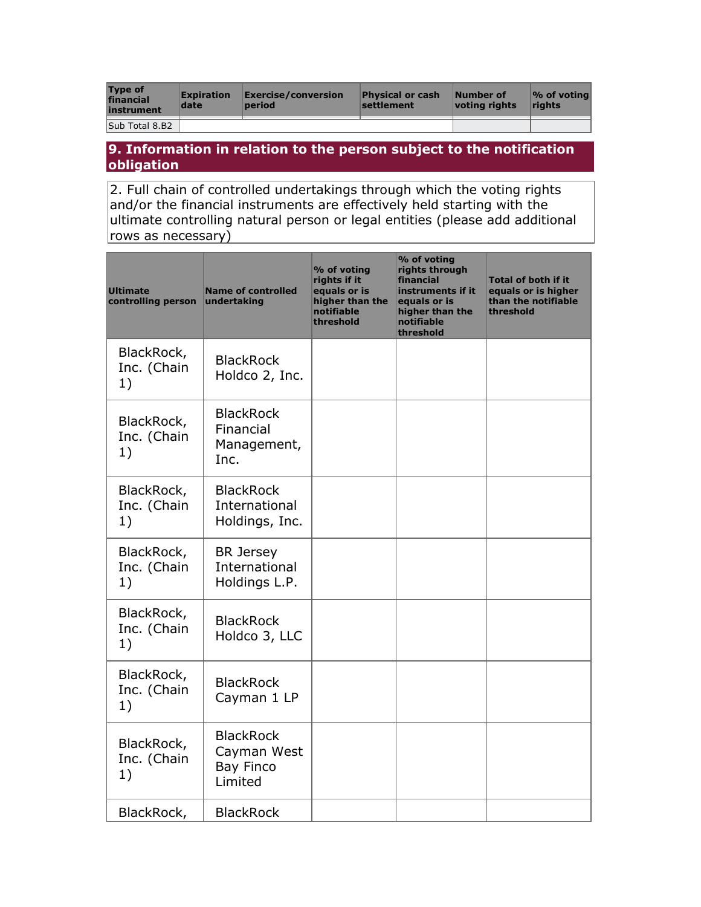| <b>Type of</b><br>financial<br>instrument | <b>Expiration</b><br>date | Exercise/conversion<br>period | <b>Physical or cash</b><br><b>settlement</b> | Number of<br>votina riahts | $\sqrt{2}$ of voting<br><b>rights</b> |
|-------------------------------------------|---------------------------|-------------------------------|----------------------------------------------|----------------------------|---------------------------------------|
| Sub Total 8.B2                            |                           |                               |                                              |                            |                                       |

#### **9. Information in relation to the person subject to the notification obligation**

2. Full chain of controlled undertakings through which the voting rights and/or the financial instruments are effectively held starting with the ultimate controlling natural person or legal entities (please add additional rows as necessary)

| <b>Ultimate</b><br>controlling person | <b>Name of controlled</b><br>undertaking                       | % of voting<br>rights if it<br>equals or is<br>higher than the<br>notifiable<br>threshold | % of voting<br>rights through<br>financial<br>instruments if it<br>equals or is<br>higher than the<br>notifiable<br>threshold | <b>Total of both if it</b><br>equals or is higher<br>than the notifiable<br>threshold |
|---------------------------------------|----------------------------------------------------------------|-------------------------------------------------------------------------------------------|-------------------------------------------------------------------------------------------------------------------------------|---------------------------------------------------------------------------------------|
| BlackRock,<br>Inc. (Chain<br>1)       | <b>BlackRock</b><br>Holdco 2, Inc.                             |                                                                                           |                                                                                                                               |                                                                                       |
| BlackRock,<br>Inc. (Chain<br>1)       | <b>BlackRock</b><br>Financial<br>Management,<br>Inc.           |                                                                                           |                                                                                                                               |                                                                                       |
| BlackRock,<br>Inc. (Chain<br>1)       | <b>BlackRock</b><br>International<br>Holdings, Inc.            |                                                                                           |                                                                                                                               |                                                                                       |
| BlackRock,<br>Inc. (Chain<br>1)       | <b>BR</b> Jersey<br>International<br>Holdings L.P.             |                                                                                           |                                                                                                                               |                                                                                       |
| BlackRock,<br>Inc. (Chain<br>1)       | <b>BlackRock</b><br>Holdco 3, LLC                              |                                                                                           |                                                                                                                               |                                                                                       |
| BlackRock,<br>Inc. (Chain<br>1)       | <b>BlackRock</b><br>Cayman 1 LP                                |                                                                                           |                                                                                                                               |                                                                                       |
| BlackRock,<br>Inc. (Chain<br>1)       | <b>BlackRock</b><br>Cayman West<br><b>Bay Finco</b><br>Limited |                                                                                           |                                                                                                                               |                                                                                       |
| BlackRock,                            | <b>BlackRock</b>                                               |                                                                                           |                                                                                                                               |                                                                                       |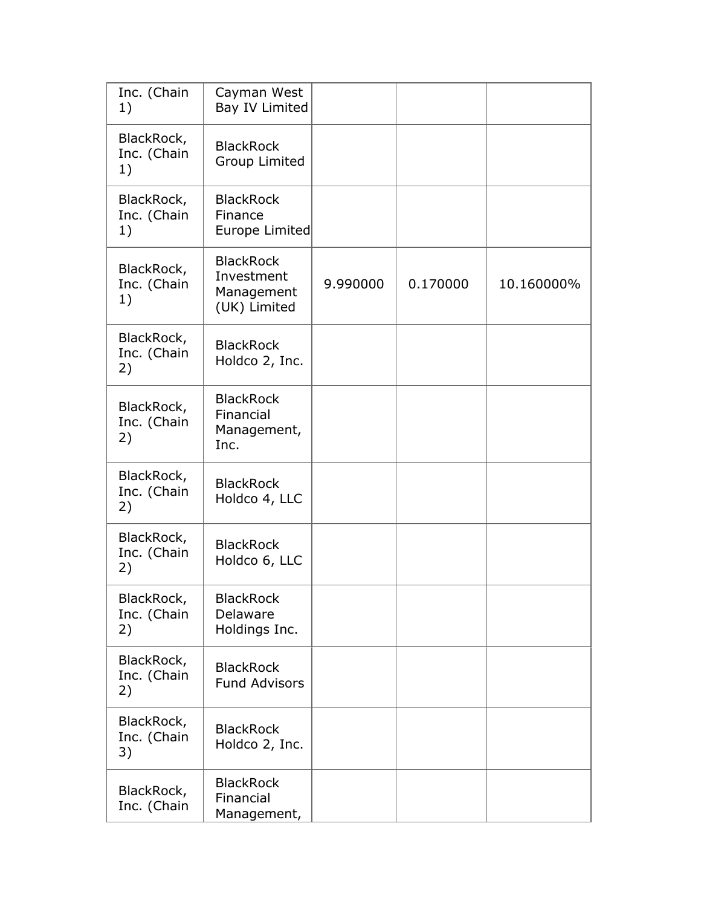| Inc. (Chain<br>1)               | Cayman West<br>Bay IV Limited                                |          |          |            |
|---------------------------------|--------------------------------------------------------------|----------|----------|------------|
| BlackRock,<br>Inc. (Chain<br>1) | <b>BlackRock</b><br><b>Group Limited</b>                     |          |          |            |
| BlackRock,<br>Inc. (Chain<br>1) | <b>BlackRock</b><br>Finance<br>Europe Limited                |          |          |            |
| BlackRock,<br>Inc. (Chain<br>1) | <b>BlackRock</b><br>Investment<br>Management<br>(UK) Limited | 9.990000 | 0.170000 | 10.160000% |
| BlackRock,<br>Inc. (Chain<br>2) | <b>BlackRock</b><br>Holdco 2, Inc.                           |          |          |            |
| BlackRock,<br>Inc. (Chain<br>2) | <b>BlackRock</b><br>Financial<br>Management,<br>Inc.         |          |          |            |
| BlackRock,<br>Inc. (Chain<br>2) | <b>BlackRock</b><br>Holdco 4, LLC                            |          |          |            |
| BlackRock,<br>Inc. (Chain<br>2) | <b>BlackRock</b><br>Holdco 6, LLC                            |          |          |            |
| BlackRock,<br>Inc. (Chain<br>2) | <b>BlackRock</b><br>Delaware<br>Holdings Inc.                |          |          |            |
| BlackRock,<br>Inc. (Chain<br>2) | <b>BlackRock</b><br><b>Fund Advisors</b>                     |          |          |            |
| BlackRock,<br>Inc. (Chain<br>3) | <b>BlackRock</b><br>Holdco 2, Inc.                           |          |          |            |
| BlackRock,<br>Inc. (Chain       | <b>BlackRock</b><br>Financial<br>Management,                 |          |          |            |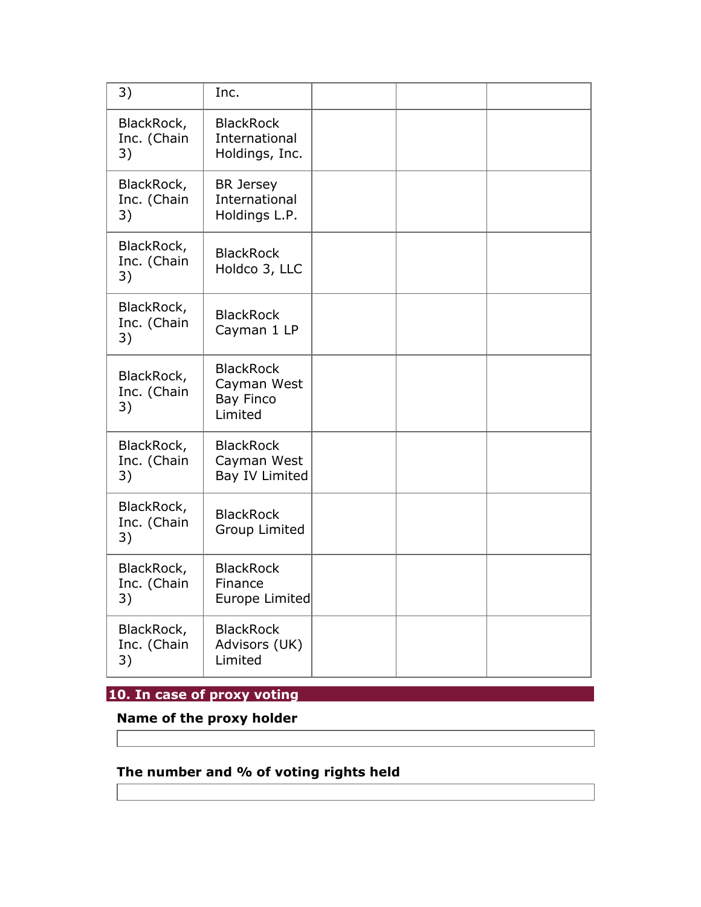| 3)                              | Inc.                                                           |  |  |
|---------------------------------|----------------------------------------------------------------|--|--|
| BlackRock,<br>Inc. (Chain<br>3) | <b>BlackRock</b><br>International<br>Holdings, Inc.            |  |  |
| BlackRock,<br>Inc. (Chain<br>3) | <b>BR</b> Jersey<br>International<br>Holdings L.P.             |  |  |
| BlackRock,<br>Inc. (Chain<br>3) | <b>BlackRock</b><br>Holdco 3, LLC                              |  |  |
| BlackRock,<br>Inc. (Chain<br>3) | <b>BlackRock</b><br>Cayman 1 LP                                |  |  |
| BlackRock,<br>Inc. (Chain<br>3) | <b>BlackRock</b><br>Cayman West<br><b>Bay Finco</b><br>Limited |  |  |
| BlackRock,<br>Inc. (Chain<br>3) | <b>BlackRock</b><br>Cayman West<br>Bay IV Limited              |  |  |
| BlackRock,<br>Inc. (Chain<br>3) | <b>BlackRock</b><br><b>Group Limited</b>                       |  |  |
| BlackRock,<br>Inc. (Chain<br>3) | <b>BlackRock</b><br>Finance<br>Europe Limited                  |  |  |
| BlackRock,<br>Inc. (Chain<br>3) | <b>BlackRock</b><br>Advisors (UK)<br>Limited                   |  |  |

## **10. In case of proxy voting**

**Name of the proxy holder** 

# **The number and % of voting rights held**